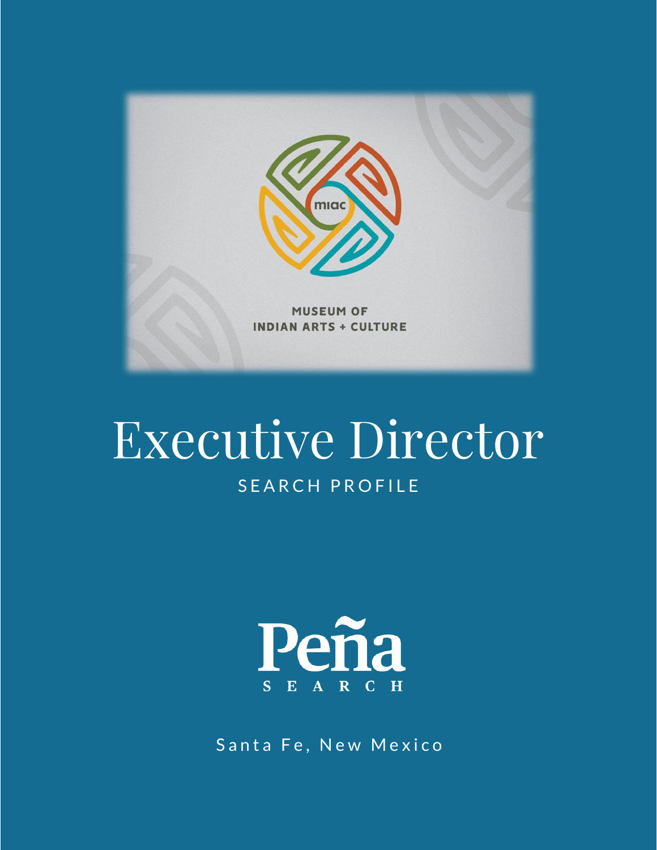

# SEARCH PROFILE Executive Director



Santa Fe, New Mexico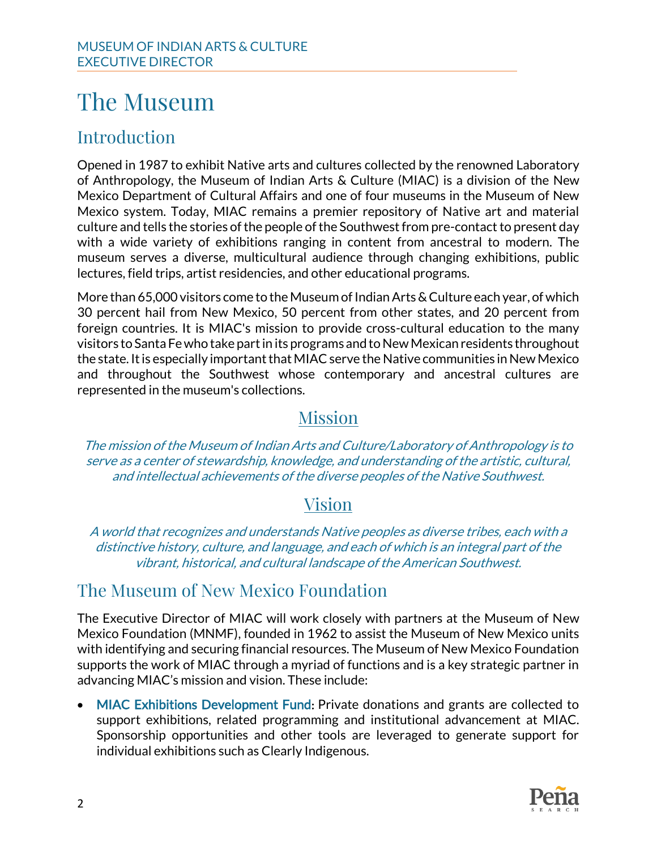## The Museum

### Introduction

Opened in 1987 to exhibit Native arts and cultures collected by the renowned Laboratory of Anthropology, the Museum of Indian Arts & Culture (MIAC) is a division of the New Mexico Department of Cultural Affairs and one of four museums in the Museum of New Mexico system. Today, MIAC remains a premier repository of Native art and material culture and tells the stories of the people of the Southwest from pre-contact to present day with a wide variety of exhibitions ranging in content from ancestral to modern. The museum serves a diverse, multicultural audience through changing exhibitions, public lectures, field trips, artist residencies, and other educational programs.

More than 65,000 visitors come to the Museum of Indian Arts & Culture each year, of which 30 percent hail from New Mexico, 50 percent from other states, and 20 percent from foreign countries. It is MIAC's mission to provide cross-cultural education to the many visitors to Santa Fe who take part in its programs and to New Mexican residents throughout the state. It is especially important that MIAC serve the Native communities in New Mexico and throughout the Southwest whose contemporary and ancestral cultures are represented in the museum's collections.

### Mission

The mission of the Museum of Indian Arts and Culture/Laboratory of Anthropology is to serve as a center of stewardship, knowledge, and understanding of the artistic, cultural, and intellectual achievements of the diverse peoples of the Native Southwest.

### Vision

A world that recognizes and understands Native peoples as diverse tribes, each with a distinctive history, culture, and language, and each of which is an integral part of the vibrant, historical, and cultural landscape of the American Southwest.

### The Museum of New Mexico Foundation

The Executive Director of MIAC will work closely with partners at the Museum of New Mexico Foundation (MNMF), founded in 1962 to assist the Museum of New Mexico units with identifying and securing financial resources. The Museum of New Mexico Foundation supports the work of MIAC through a myriad of functions and is a key strategic partner in advancing MIAC's mission and vision. These include:

• MIAC Exhibitions Development Fund: Private donations and grants are collected to support exhibitions, related programming and institutional advancement at MIAC. Sponsorship opportunities and other tools are leveraged to generate support for individual exhibitions such as Clearly Indigenous.

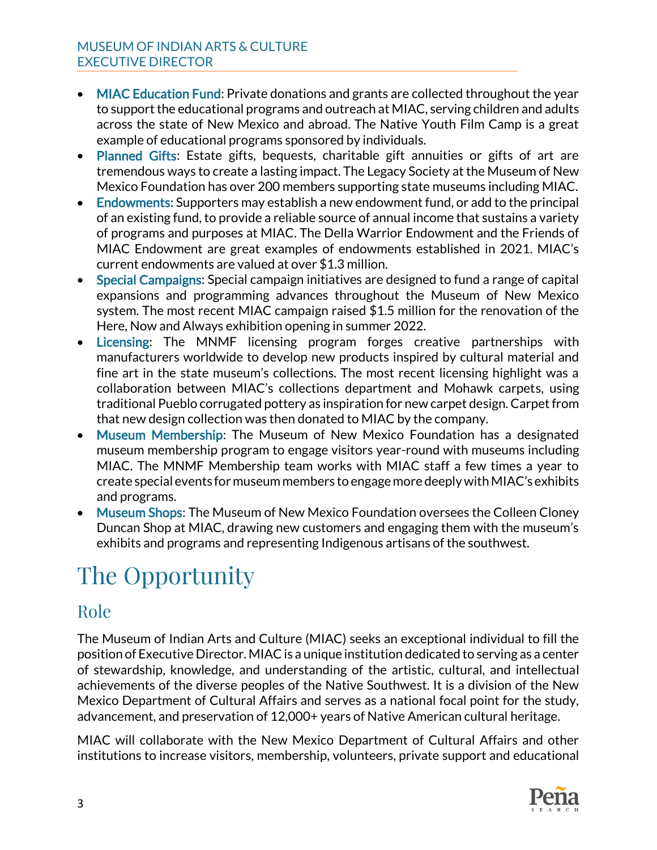- MIAC Education Fund: Private donations and grants are collected throughout the year to support the educational programs and outreach at MIAC, serving children and adults across the state of New Mexico and abroad. The Native Youth Film Camp is a great example of educational programs sponsored by individuals.
- Planned Gifts: Estate gifts, bequests, charitable gift annuities or gifts of art are tremendous ways to create a lasting impact. The Legacy Society at the Museum of New Mexico Foundation has over 200 members supporting state museums including MIAC.
- Endowments: Supporters may establish a new endowment fund, or add to the principal of an existing fund, to provide a reliable source of annual income that sustains a variety of programs and purposes at MIAC. The Della Warrior Endowment and the Friends of MIAC Endowment are great examples of endowments established in 2021. MIAC's current endowments are valued at over \$1.3 million.
- Special Campaigns: Special campaign initiatives are designed to fund a range of capital expansions and programming advances throughout the Museum of New Mexico system. The most recent MIAC campaign raised \$1.5 million for the renovation of the Here, Now and Always exhibition opening in summer 2022.
- Licensing: The MNMF licensing program forges creative partnerships with manufacturers worldwide to develop new products inspired by cultural material and fine art in the state museum's collections. The most recent licensing highlight was a collaboration between MIAC's collections department and Mohawk carpets, using traditional Pueblo corrugated pottery as inspiration for new carpet design. Carpet from that new design collection was then donated to MIAC by the company.
- Museum Membership: The Museum of New Mexico Foundation has a designated museum membership program to engage visitors year-round with museums including MIAC. The MNMF Membership team works with MIAC staff a few times a year to create special events for museum members to engage more deeply with MIAC's exhibits and programs.
- Museum Shops: The Museum of New Mexico Foundation oversees the Colleen Cloney Duncan Shop at MIAC, drawing new customers and engaging them with the museum's exhibits and programs and representing Indigenous artisans of the southwest.

# The Opportunity

### Role

The Museum of Indian Arts and Culture (MIAC) seeks an exceptional individual to fill the position of Executive Director. MIAC is a unique institution dedicated to serving as a center of stewardship, knowledge, and understanding of the artistic, cultural, and intellectual achievements of the diverse peoples of the Native Southwest. It is a division of the New Mexico Department of Cultural Affairs and serves as a national focal point for the study, advancement, and preservation of 12,000+ years of Native American cultural heritage.

MIAC will collaborate with the New Mexico Department of Cultural Affairs and other institutions to increase visitors, membership, volunteers, private support and educational

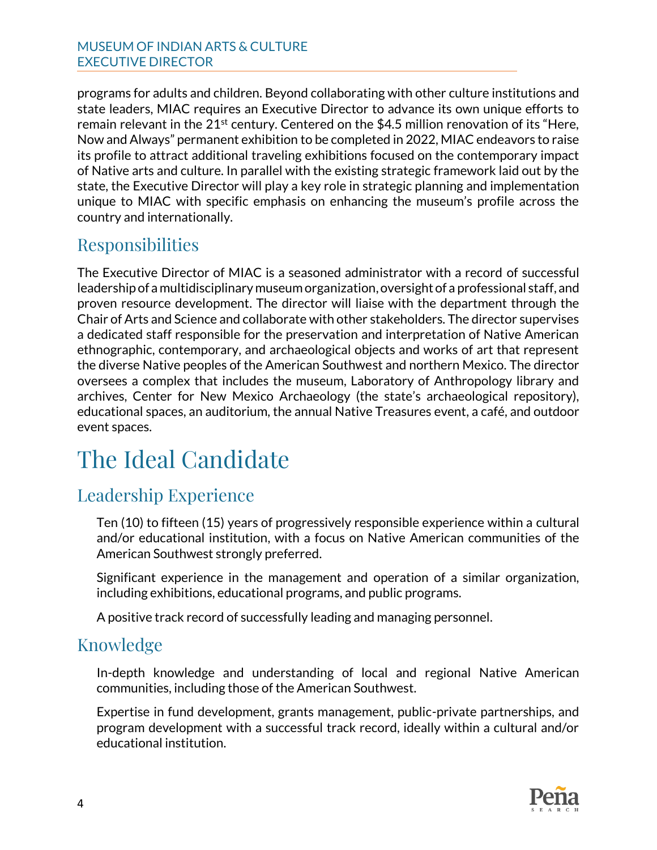programs for adults and children. Beyond collaborating with other culture institutions and state leaders, MIAC requires an Executive Director to advance its own unique efforts to remain relevant in the  $21^{st}$  century. Centered on the \$4.5 million renovation of its "Here, Now and Always" permanent exhibition to be completed in 2022, MIAC endeavors to raise its profile to attract additional traveling exhibitions focused on the contemporary impact of Native arts and culture. In parallel with the existing strategic framework laid out by the state, the Executive Director will play a key role in strategic planning and implementation unique to MIAC with specific emphasis on enhancing the museum's profile across the country and internationally.

### Responsibilities

The Executive Director of MIAC is a seasoned administrator with a record of successful leadership of a multidisciplinary museum organization, oversight of a professional staff, and proven resource development. The director will liaise with the department through the Chair of Arts and Science and collaborate with other stakeholders. The director supervises a dedicated staff responsible for the preservation and interpretation of Native American ethnographic, contemporary, and archaeological objects and works of art that represent the diverse Native peoples of the American Southwest and northern Mexico. The director oversees a complex that includes the museum, Laboratory of Anthropology library and archives, Center for New Mexico Archaeology (the state's archaeological repository), educational spaces, an auditorium, the annual Native Treasures event, a café, and outdoor event spaces.

## The Ideal Candidate

### Leadership Experience

Ten (10) to fifteen (15) years of progressively responsible experience within a cultural and/or educational institution, with a focus on Native American communities of the American Southwest strongly preferred.

Significant experience in the management and operation of a similar organization, including exhibitions, educational programs, and public programs.

A positive track record of successfully leading and managing personnel.

### Knowledge

In-depth knowledge and understanding of local and regional Native American communities, including those of the American Southwest.

Expertise in fund development, grants management, public-private partnerships, and program development with a successful track record, ideally within a cultural and/or educational institution.

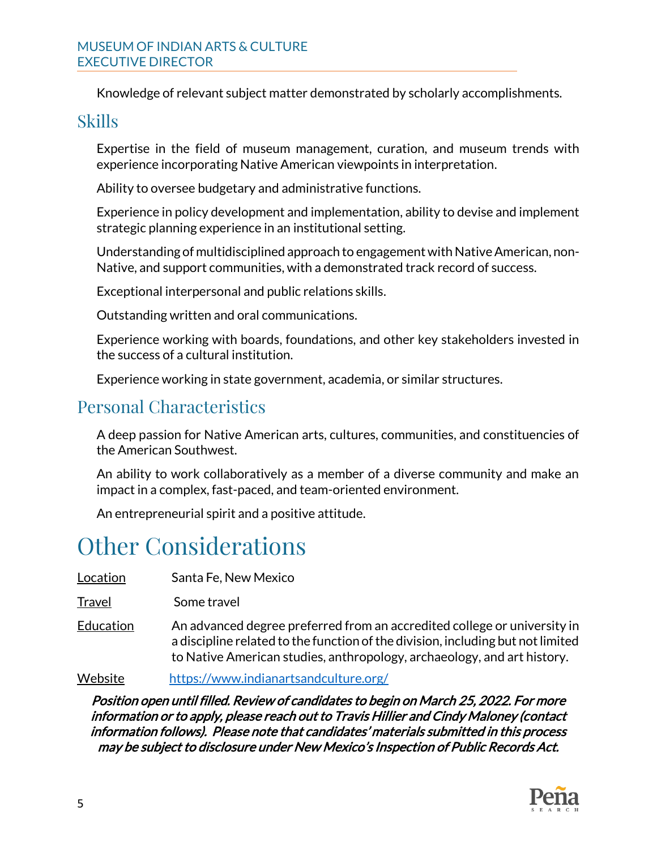#### MUSEUM OF INDIAN ARTS & CULTURE EXECUTIVE DIRECTOR

Knowledge of relevant subject matter demonstrated by scholarly accomplishments.

#### Skills

Expertise in the field of museum management, curation, and museum trends with experience incorporating Native American viewpoints in interpretation.

Ability to oversee budgetary and administrative functions.

Experience in policy development and implementation, ability to devise and implement strategic planning experience in an institutional setting.

Understanding of multidisciplined approach to engagement with Native American, non-Native, and support communities, with a demonstrated track record of success.

Exceptional interpersonal and public relations skills.

Outstanding written and oral communications.

Experience working with boards, foundations, and other key stakeholders invested in the success of a cultural institution.

Experience working in state government, academia, or similar structures.

### Personal Characteristics

A deep passion for Native American arts, cultures, communities, and constituencies of the American Southwest.

An ability to work collaboratively as a member of a diverse community and make an impact in a complex, fast-paced, and team-oriented environment.

An entrepreneurial spirit and a positive attitude.

### Other Considerations

Location Santa Fe, New Mexico

Travel Some travel

Education An advanced degree preferred from an accredited college or university in a discipline related to the function of the division, including but not limited to Native American studies, anthropology, archaeology, and art history.

Website <https://www.indianartsandculture.org/>

Position open until filled. Review of candidates to begin on March 25, 2022. For more information or to apply, please reach out to Travis Hillier and Cindy Maloney (contact information follows). Please note that candidates' materials submitted in this process may be subject to disclosure under New Mexico's Inspection of Public Records Act.